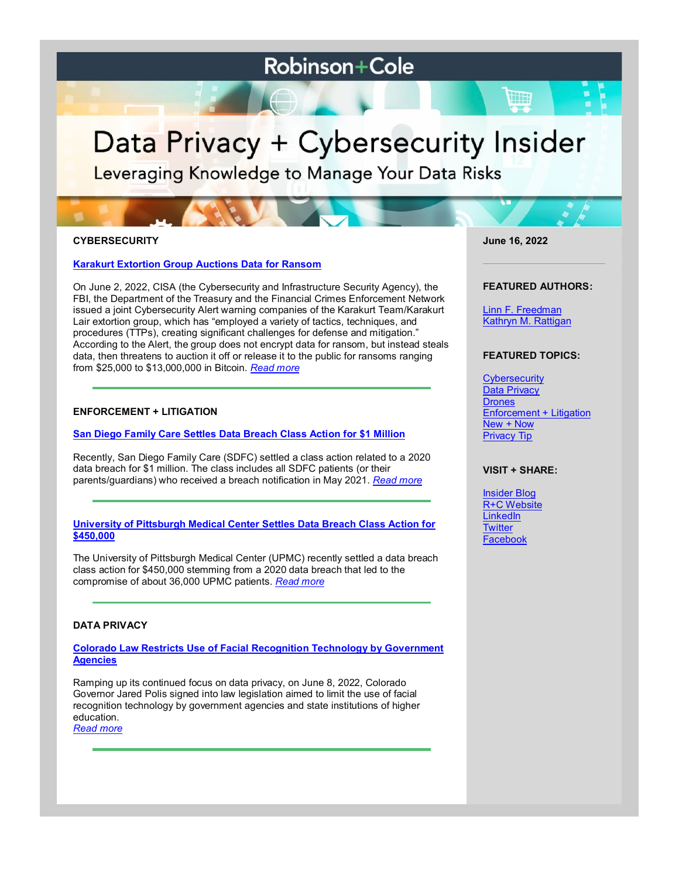# **Robinson+Cole**

# Data Privacy + Cybersecurity Insider

Leveraging Knowledge to Manage Your Data Risks

# **CYBERSECURITY**

**[Karakurt Extortion Group Auctions Data for Ransom](https://www.dataprivacyandsecurityinsider.com/2022/06/karakurt-extortion-group-auctions-data-for-ransom/)**

On June 2, 2022, CISA (the Cybersecurity and Infrastructure Security Agency), the FBI, the Department of the Treasury and the Financial Crimes Enforcement Network issued a joint Cybersecurity Alert warning companies of the Karakurt Team/Karakurt Lair extortion group, which has "employed a variety of tactics, techniques, and procedures (TTPs), creating significant challenges for defense and mitigation." According to the Alert, the group does not encrypt data for ransom, but instead steals data, then threatens to auction it off or release it to the public for ransoms ranging from \$25,000 to \$13,000,000 in Bitcoin. *[Read more](https://www.dataprivacyandsecurityinsider.com/2022/06/karakurt-extortion-group-auctions-data-for-ransom/)*

# **ENFORCEMENT + LITIGATION**

#### **[San Diego Family Care Settles Data Breach Class Action for \\$1 Million](https://www.dataprivacyandsecurityinsider.com/2022/06/san-diego-family-care-settles-data-breach-class-action-for-1-million/)**

Recently, San Diego Family Care (SDFC) settled a class action related to a 2020 data breach for \$1 million. The class includes all SDFC patients (or their parents/guardians) who received a breach notification in May 2021. *[Read more](https://www.dataprivacyandsecurityinsider.com/2022/06/san-diego-family-care-settles-data-breach-class-action-for-1-million/)*

#### **[University of Pittsburgh Medical Center Settles Data Breach Class Action for](https://www.dataprivacyandsecurityinsider.com/2022/06/university-of-pittsburgh-medical-center-settles-data-breach-class-action-for-450000/)  [\\$450,000](https://www.dataprivacyandsecurityinsider.com/2022/06/university-of-pittsburgh-medical-center-settles-data-breach-class-action-for-450000/)**

The University of Pittsburgh Medical Center (UPMC) recently settled a data breach class action for \$450,000 stemming from a 2020 data breach that led to the compromise of about 36,000 UPMC patients. *[Read more](https://www.dataprivacyandsecurityinsider.com/2022/06/university-of-pittsburgh-medical-center-settles-data-breach-class-action-for-450000/)*

### **DATA PRIVACY**

**[Colorado Law Restricts Use of Facial Recognition Technology by Government](https://www.dataprivacyandsecurityinsider.com/2022/06/colorado-law-restricts-use-of-facial-recognition-technology-by-government-agencies/)  [Agencies](https://www.dataprivacyandsecurityinsider.com/2022/06/colorado-law-restricts-use-of-facial-recognition-technology-by-government-agencies/)**

Ramping up its continued focus on data privacy, on June 8, 2022, Colorado Governor Jared Polis signed into law legislation aimed to limit the use of facial recognition technology by government agencies and state institutions of higher education.

*[Read more](https://www.dataprivacyandsecurityinsider.com/2022/06/colorado-law-restricts-use-of-facial-recognition-technology-by-government-agencies/)*

**June 16, 2022**

#### **FEATURED AUTHORS:**

[Linn F. Freedman](https://www.rc.com/people/LinnFFreedman.cfm) [Kathryn M. Rattigan](https://www.rc.com/people/kathrynmrattigan.cfm)

#### **FEATURED TOPICS:**

**[Cybersecurity](https://www.dataprivacyandsecurityinsider.com/category/cybersecurity/)** [Data Privacy](https://www.dataprivacyandsecurityinsider.com/category/data-privacy/) **[Drones](https://www.dataprivacyandsecurityinsider.com/category/drones/)** [Enforcement + Litigation](https://www.dataprivacyandsecurityinsider.com/category/enforcement-litigation/) [New + Now](https://www.dataprivacyandsecurityinsider.com/category/new-now/) [Privacy Tip](https://www.dataprivacyandsecurityinsider.com/category/privacy-tips/)

#### **VISIT + SHARE:**

**[Insider Blog](https://www.dataprivacyandsecurityinsider.com/)** [R+C Website](http://www.rc.com/) **[LinkedIn](https://www.linkedin.com/company/robinson-&-cole-llp) [Twitter](https://twitter.com/RobinsonCole)** [Facebook](https://www.facebook.com/RobinsonCole-144331422248207/)